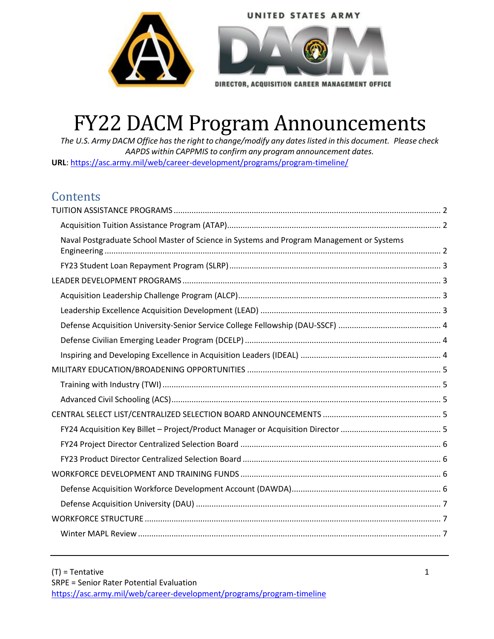



DIRECTOR, ACQUISITION CAREER MANAGEMENT OFFICE

# FY22 DACM Program Announcements

*The U.S. Army DACM Office has the right to change/modify any dateslisted in this document. Please check AAPDS within CAPPMIS to confirm any program announcement dates.* **URL**[: https://asc.army.mil/web/career-development/programs/program-timeline/](https://asc.army.mil/web/career-development/programs/program-timeline/)

# **Contents**

| Naval Postgraduate School Master of Science in Systems and Program Management or Systems |  |
|------------------------------------------------------------------------------------------|--|
|                                                                                          |  |
|                                                                                          |  |
|                                                                                          |  |
|                                                                                          |  |
|                                                                                          |  |
|                                                                                          |  |
|                                                                                          |  |
|                                                                                          |  |
|                                                                                          |  |
|                                                                                          |  |
|                                                                                          |  |
|                                                                                          |  |
|                                                                                          |  |
|                                                                                          |  |
|                                                                                          |  |
|                                                                                          |  |
|                                                                                          |  |
|                                                                                          |  |
|                                                                                          |  |
|                                                                                          |  |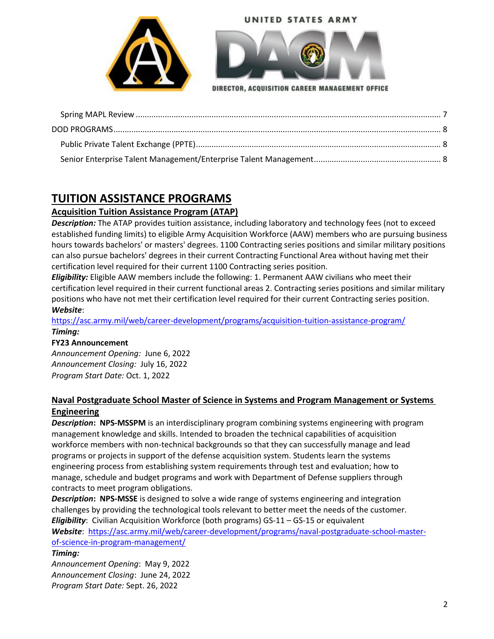



DIRECTOR, ACQUISITION CAREER MANAGEMENT OFFICE

# <span id="page-1-0"></span>**TUITION ASSISTANCE PROGRAMS**

# <span id="page-1-1"></span>**Acquisition Tuition Assistance Program (ATAP)**

*Description:* The ATAP provides tuition assistance, including laboratory and technology fees (not to exceed established funding limits) to eligible Army Acquisition Workforce (AAW) members who are pursuing business hours towards bachelors' or masters' degrees. 1100 Contracting series positions and similar military positions can also pursue bachelors' degrees in their current Contracting Functional Area without having met their certification level required for their current 1100 Contracting series position.

*Eligibility:* Eligible AAW members include the following: 1. Permanent AAW civilians who meet their certification level required in their current functional areas 2. Contracting series positions and similar military positions who have not met their certification level required for their current Contracting series position. *Website*:

<https://asc.army.mil/web/career-development/programs/acquisition-tuition-assistance-program/> *Timing:* 

## **FY23 Announcement**

*Announcement Opening:* June 6, 2022 *Announcement Closing:* July 16, 2022 *Program Start Date:* Oct. 1, 2022

# <span id="page-1-2"></span>**Naval Postgraduate School Master of Science in Systems and Program Management or Systems Engineering**

*Description***: NPS‐MSSPM** is an interdisciplinary program combining systems engineering with program management knowledge and skills. Intended to broaden the technical capabilities of acquisition workforce members with non-technical backgrounds so that they can successfully manage and lead programs or projects in support of the defense acquisition system. Students learn the systems engineering process from establishing system requirements through test and evaluation; how to manage, schedule and budget programs and work with Department of Defense suppliers through contracts to meet program obligations.

*Description***: NPS‐MSSE** is designed to solve a wide range of systems engineering and integration challenges by providing the technological tools relevant to better meet the needs of the customer. *Eligibility*: Civilian Acquisition Workforce (both programs) GS‐11 – GS‐15 or equivalent *Website*: [https://asc.army.mil/web/career-development/programs/naval-postgraduate-school-master](https://asc.army.mil/web/career-development/programs/naval-postgraduate-school-master-of-science-in-program-management/)[of-science-in-program-management/](https://asc.army.mil/web/career-development/programs/naval-postgraduate-school-master-of-science-in-program-management/)

## *Timing:*

*Announcement Opening*: May 9, 2022 *Announcement Closing*: June 24, 2022 *Program Start Date:* Sept. 26, 2022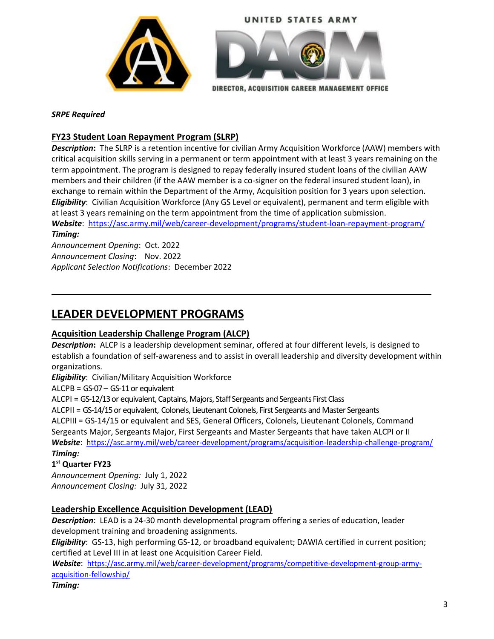



DIRECTOR, ACQUISITION CAREER MANAGEMENT OFFICE

#### *SRPE Required*

## <span id="page-2-0"></span>**FY23 Student Loan Repayment Program (SLRP)**

*Description***:** The SLRP is a retention incentive for civilian Army Acquisition Workforce (AAW) members with critical acquisition skills serving in a permanent or term appointment with at least 3 years remaining on the term appointment. The program is designed to repay federally insured student loans of the civilian AAW members and their children (if the AAW member is a co-signer on the federal insured student loan), in exchange to remain within the Department of the Army, Acquisition position for 3 years upon selection. *Eligibility*: Civilian Acquisition Workforce (Any GS Level or equivalent), permanent and term eligible with at least 3 years remaining on the term appointment from the time of application submission.

*Website*: <https://asc.army.mil/web/career-development/programs/student-loan-repayment-program/> *Timing:* 

*Announcement Opening*: Oct. 2022 *Announcement Closing*: Nov. 2022 *Applicant Selection Notifications*: December 2022

# <span id="page-2-1"></span>**LEADER DEVELOPMENT PROGRAMS**

## <span id="page-2-2"></span>**Acquisition Leadership Challenge Program (ALCP)**

*Description***:** ALCP is a leadership development seminar, offered at four different levels, is designed to establish a foundation of self‐awareness and to assist in overall leadership and diversity development within organizations.

*Eligibility*: Civilian/Military Acquisition Workforce

ALCPB = GS‐07 – GS‐11 or equivalent

ALCPI = GS‐12/13 or equivalent, Captains, Majors, Staff Sergeants and Sergeants First Class

ALCPII = GS‐14/15 or equivalent, Colonels, Lieutenant Colonels, First Sergeants and Master Sergeants ALCPIII = GS-14/15 or equivalent and SES, General Officers, Colonels, Lieutenant Colonels, Command Sergeants Major, Sergeants Major, First Sergeants and Master Sergeants that have taken ALCPI or II *Website*: <https://asc.army.mil/web/career-development/programs/acquisition-leadership-challenge-program/> *Timing:* 

## **1 st Quarter FY23**

*Announcement Opening:* July 1, 2022 *Announcement Closing:* July 31, 2022

## <span id="page-2-3"></span>**Leadership Excellence Acquisition Development (LEAD)**

*Description*: LEAD is a 24-30 month developmental program offering a series of education, leader development training and broadening assignments.

*Eligibility*: GS‐13, high performing GS‐12, or broadband equivalent; DAWIA certified in current position; certified at Level III in at least one Acquisition Career Field.

*Website*: [https://asc.army.mil/web/career-development/programs/competitive-development-group-army](https://asc.army.mil/web/career-development/programs/competitive-development-group-army-acquisition-fellowship/)[acquisition-fellowship/](https://asc.army.mil/web/career-development/programs/competitive-development-group-army-acquisition-fellowship/)

*Timing:*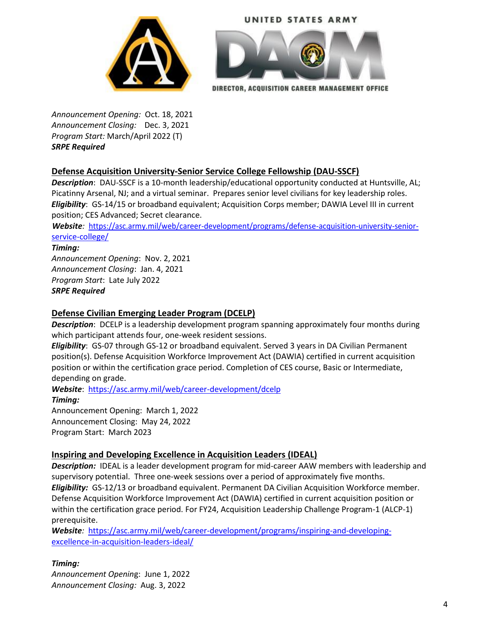



DIRECTOR, ACQUISITION CAREER MANAGEMENT OFFICE

*Announcement Opening:* Oct. 18, 2021 *Announcement Closing:* Dec. 3, 2021 *Program Start:* March/April 2022 (T) *SRPE Required*

## <span id="page-3-0"></span>**Defense Acquisition University‐Senior Service College Fellowship (DAU‐SSCF)**

*Description*: DAU-SSCF is a 10-month leadership/educational opportunity conducted at Huntsville, AL; Picatinny Arsenal, NJ; and a virtual seminar. Prepares senior level civilians for key leadership roles. *Eligibility*: GS‐14/15 or broadband equivalent; Acquisition Corps member; DAWIA Level III in current position; CES Advanced; Secret clearance.

*Website:* [https://asc.army.mil/web/career-development/programs/defense-acquisition-university-senior](https://asc.army.mil/web/career-development/programs/defense-acquisition-university-senior-service-college/)[service-college/](https://asc.army.mil/web/career-development/programs/defense-acquisition-university-senior-service-college/)

#### *Timing:*

*Announcement Opening*: Nov. 2, 2021 *Announcement Closing*: Jan. 4, 2021 *Program Start*: Late July 2022 *SRPE Required*

## <span id="page-3-1"></span>**Defense Civilian Emerging Leader Program (DCELP)**

*Description*: DCELP is a leadership development program spanning approximately four months during which participant attends four, one-week resident sessions.

*Eligibility*: GS-07 through GS-12 or broadband equivalent. Served 3 years in DA Civilian Permanent position(s). Defense Acquisition Workforce Improvement Act (DAWIA) certified in current acquisition position or within the certification grace period. Completion of CES course, Basic or Intermediate, depending on grade.

*Website*: <https://asc.army.mil/web/career-development/dcelp> *Timing:*  Announcement Opening: March 1, 2022 Announcement Closing: May 24, 2022

Program Start: March 2023

# <span id="page-3-2"></span>**Inspiring and Developing Excellence in Acquisition Leaders (IDEAL)**

*Description:* IDEAL is a leader development program for mid-career AAW members with leadership and supervisory potential. Three one-week sessions over a period of approximately five months. *Eligibility:* GS-12/13 or broadband equivalent. Permanent DA Civilian Acquisition Workforce member. Defense Acquisition Workforce Improvement Act (DAWIA) certified in current acquisition position or within the certification grace period. For FY24, Acquisition Leadership Challenge Program-1 (ALCP-1) prerequisite.

*Website:* [https://asc.army.mil/web/career-development/programs/inspiring-and-developing](https://asc.army.mil/web/career-development/programs/inspiring-and-developing-excellence-in-acquisition-leaders-ideal/)[excellence-in-acquisition-leaders-ideal/](https://asc.army.mil/web/career-development/programs/inspiring-and-developing-excellence-in-acquisition-leaders-ideal/)

## *Timing:*

*Announcement Openin*g: June 1, 2022 *Announcement Closing:* Aug. 3, 2022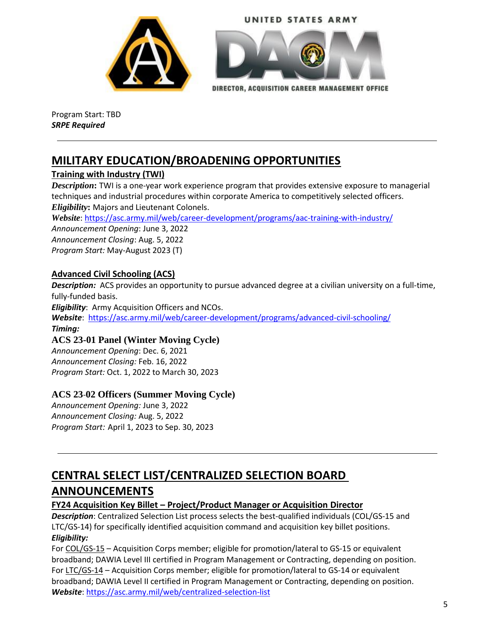





DIRECTOR, ACQUISITION CAREER MANAGEMENT OFFICE

Program Start: TBD *SRPE Required*

# <span id="page-4-0"></span>**MILITARY EDUCATION/BROADENING OPPORTUNITIES**

# <span id="page-4-1"></span>**Training with Industry (TWI)**

*Description***:** TWI is a one-year work experience program that provides extensive exposure to managerial techniques and industrial procedures within corporate America to competitively selected officers. *Eligibility***:** Majors and Lieutenant Colonels.

*Website*:<https://asc.army.mil/web/career-development/programs/aac-training-with-industry/>

*Announcement Opening*: June 3, 2022 *Announcement Closing*: Aug. 5, 2022 *Program Start:* May-August 2023 (T)

# <span id="page-4-2"></span>**Advanced Civil Schooling (ACS)**

*Description:* ACS provides an opportunity to pursue advanced degree at a civilian university on a full‐time, fully‐funded basis.

*Eligibility*: Army Acquisition Officers and NCOs.

*Website*: <https://asc.army.mil/web/career-development/programs/advanced-civil-schooling/> *Timing:* 

# **ACS 23-01 Panel (Winter Moving Cycle)**

*Announcement Opening*: Dec. 6, 2021 *Announcement Closing:* Feb. 16, 2022 *Program Start:* Oct. 1, 2022 to March 30, 2023

# **ACS 23**-**02 Officers (Summer Moving Cycle)**

*Announcement Opening:* June 3, 2022 *Announcement Closing:* Aug. 5, 2022 *Program Start:* April 1, 2023 to Sep. 30, 2023

# <span id="page-4-3"></span>**CENTRAL SELECT LIST/CENTRALIZED SELECTION BOARD ANNOUNCEMENTS**

# <span id="page-4-4"></span>**FY24 Acquisition Key Billet – Project/Product Manager or Acquisition Director**

Description: Centralized Selection List process selects the best-qualified individuals (COL/GS-15 and LTC/GS‐14) for specifically identified acquisition command and acquisition key billet positions. *Eligibility:*

For COL/GS‐15 – Acquisition Corps member; eligible for promotion/lateral to GS‐15 or equivalent broadband; DAWIA Level III certified in Program Management or Contracting, depending on position. For LTC/GS‐14 – Acquisition Corps member; eligible for promotion/lateral to GS‐14 or equivalent broadband; DAWIA Level II certified in Program Management or Contracting, depending on position. *Website*:<https://asc.army.mil/web/centralized-selection-list>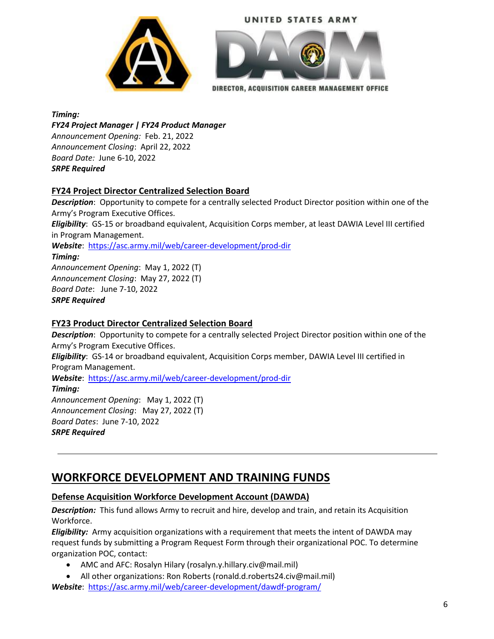



DIRECTOR, ACQUISITION CAREER MANAGEMENT OFFICE

*Timing: FY24 Project Manager | FY24 Product Manager Announcement Opening:* Feb. 21, 2022 *Announcement Closing*: April 22, 2022 *Board Date:* June 6-10, 2022 *SRPE Required*

## <span id="page-5-0"></span>**FY24 Project Director Centralized Selection Board**

*Description*: Opportunity to compete for a centrally selected Product Director position within one of the Army's Program Executive Offices. *Eligibility*: GS‐15 or broadband equivalent, Acquisition Corps member, at least DAWIA Level III certified in Program Management.

*Website*: <https://asc.army.mil/web/career-development/prod-dir>

*Timing: Announcement Opening*: May 1, 2022 (T) *Announcement Closing*: May 27, 2022 (T) *Board Date*: June 7-10, 2022 *SRPE Required*

# <span id="page-5-1"></span>**FY23 Product Director Centralized Selection Board**

*Description*: Opportunity to compete for a centrally selected Project Director position within one of the Army's Program Executive Offices.

*Eligibility*: GS‐14 or broadband equivalent, Acquisition Corps member, DAWIA Level III certified in Program Management.

*Website*: <https://asc.army.mil/web/career-development/prod-dir>

*Timing:* 

*Announcement Opening*: May 1, 2022 (T) *Announcement Closing*: May 27, 2022 (T) *Board Dates*: June 7-10, 2022 *SRPE Required*

# <span id="page-5-2"></span>**WORKFORCE DEVELOPMENT AND TRAINING FUNDS**

# <span id="page-5-3"></span>**Defense Acquisition Workforce Development Account (DAWDA)**

*Description:* This fund allows Army to recruit and hire, develop and train, and retain its Acquisition Workforce.

*Eligibility:* Army acquisition organizations with a requirement that meets the intent of DAWDA may request funds by submitting a Program Request Form through their organizational POC. To determine organization POC, contact:

- AMC and AFC: Rosalyn Hilary (rosalyn.y.hillary.civ@mail.mil)
- All other organizations: Ron Roberts (ronald.d.roberts24.civ@mail.mil) *Website*: <https://asc.army.mil/web/career-development/dawdf-program/>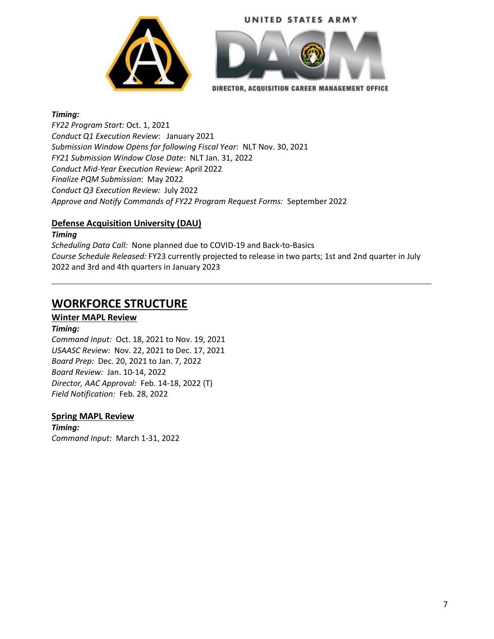





DIRECTOR, ACQUISITION CAREER MANAGEMENT OFFICE

#### *Timing:*

*FY22 Program Start:* Oct. 1, 2021 *Conduct Q1 Execution Review*: January 2021 *Submission Window Opens for following Fiscal Year*: NLT Nov. 30, 2021 *FY21 Submission Window Close Date*: NLT Jan. 31, 2022 *Conduct Mid-Year Execution Review*: April 2022 *Finalize PQM Submission*: May 2022 *Conduct Q3 Execution Review:* July 2022 *Approve and Notify Commands of FY22 Program Request Forms:* September 2022

## <span id="page-6-0"></span>**Defense Acquisition University (DAU)**

*Timing*

*Scheduling Data Call:* None planned due to COVID-19 and Back-to-Basics *Course Schedule Released:* FY23 currently projected to release in two parts; 1st and 2nd quarter in July 2022 and 3rd and 4th quarters in January 2023

# <span id="page-6-1"></span>**WORKFORCE STRUCTURE**

## <span id="page-6-2"></span>**Winter MAPL Review**

#### *Timing:*

*Command Input:* Oct. 18, 2021 to Nov. 19, 2021 *USAASC Review:* Nov. 22, 2021 to Dec. 17, 2021 *Board Prep:* Dec. 20, 2021 to Jan. 7, 2022 *Board Review:* Jan. 10-14, 2022 *Director, AAC Approval:* Feb. 14-18, 2022 (T) *Field Notification:* Feb. 28, 2022

#### <span id="page-6-3"></span>**Spring MAPL Review**

*Timing: Command Input:* March 1-31, 2022